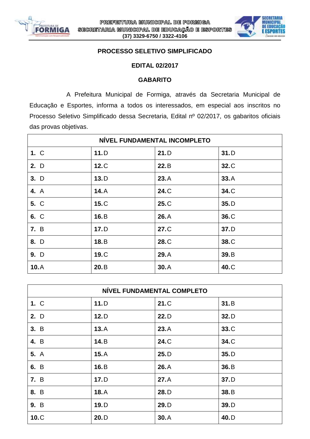



## **PROCESSO SELETIVO SIMPLIFICADO**

## **EDITAL 02/2017**

## **GABARITO**

A Prefeitura Municipal de Formiga, através da Secretaria Municipal de Educação e Esportes, informa a todos os interessados, em especial aos inscritos no Processo Seletivo Simplificado dessa Secretaria, Edital nº 02/2017, os gabaritos oficiais das provas objetivas.

| NÍVEL FUNDAMENTAL INCOMPLETO |      |      |      |  |
|------------------------------|------|------|------|--|
| 1. C                         | 11.D | 21.D | 31.D |  |
| 2. D                         | 12.C | 22.B | 32.C |  |
| 3. D                         | 13.D | 23.A | 33.A |  |
| 4. A                         | 14.A | 24.C | 34.C |  |
| 5. C                         | 15.C | 25.C | 35.D |  |
| 6. C                         | 16.B | 26.A | 36.C |  |
| 7. B                         | 17.D | 27.C | 37.D |  |
| 8. D                         | 18.B | 28.C | 38.C |  |
| 9. D                         | 19.C | 29.A | 39.B |  |
| 10.A                         | 20.B | 30.A | 40.C |  |

| NÍVEL FUNDAMENTAL COMPLETO |      |      |      |  |
|----------------------------|------|------|------|--|
| 1. C                       | 11.D | 21.C | 31.B |  |
| 2. D                       | 12.D | 22.D | 32.D |  |
| 3. B                       | 13.A | 23.A | 33.C |  |
| 4. B                       | 14.B | 24.C | 34.C |  |
| <b>5.</b> A                | 15.A | 25.D | 35.D |  |
| 6. B                       | 16.B | 26.A | 36.B |  |
| <b>7.</b> B                | 17.D | 27.A | 37.D |  |
| 8. B                       | 18.A | 28.D | 38.B |  |
| 9. B                       | 19.D | 29.D | 39.D |  |
| 10.C                       | 20.D | 30.A | 40.D |  |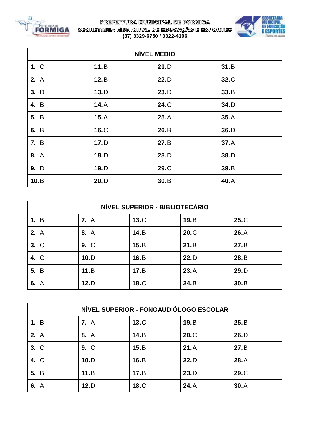

PREFEITURA MUNICIPAL DE FORMIGA SECRETARIA MUNICIPAL DE EDUCAÇÃO E ESPORTES **(37) 3329-6750 / 3322-4106**



| <b>NÍVEL MÉDIO</b> |      |      |      |  |
|--------------------|------|------|------|--|
| 1. C               | 11.B | 21.D | 31.B |  |
| <b>2.</b> A        | 12.B | 22.D | 32.C |  |
| 3. D               | 13.D | 23.D | 33.B |  |
| 4. B               | 14.A | 24.C | 34.D |  |
| 5. B               | 15.A | 25.A | 35.A |  |
| 6. B               | 16.C | 26.B | 36.D |  |
| 7. B               | 17.D | 27.B | 37.A |  |
| 8. A               | 18.D | 28.D | 38.D |  |
| 9. D               | 19.D | 29.C | 39.B |  |
| 10.B               | 20.D | 30.B | 40.A |  |

| NÍVEL SUPERIOR - BIBLIOTECÁRIO |             |      |      |      |  |
|--------------------------------|-------------|------|------|------|--|
| 1. B                           | <b>7.</b> A | 13.C | 19.B | 25.C |  |
| 2. A                           | 8. A        | 14.B | 20.C | 26.A |  |
| 3. C                           | 9. C        | 15.B | 21.B | 27.B |  |
| 4. C                           | 10.D        | 16.B | 22.D | 28.B |  |
| 5. B                           | 11.B        | 17.E | 23.A | 29.D |  |
| 6. A                           | 12.D        | 18.C | 24.B | 30.B |  |

| NÍVEL SUPERIOR - FONOAUDIÓLOGO ESCOLAR |             |      |      |      |  |
|----------------------------------------|-------------|------|------|------|--|
| 1. B                                   | <b>7.</b> A | 13.C | 19.B | 25.B |  |
| <b>2.</b> A                            | 8. A        | 14.B | 20.C | 26.D |  |
| 3. C                                   | 9. C        | 15.B | 21.A | 27.B |  |
| 4. C                                   | 10.D        | 16.B | 22.D | 28.A |  |
| 5. B                                   | 11.B        | 17.E | 23.D | 29.C |  |
| 6. A                                   | 12.D        | 18.C | 24.A | 30.A |  |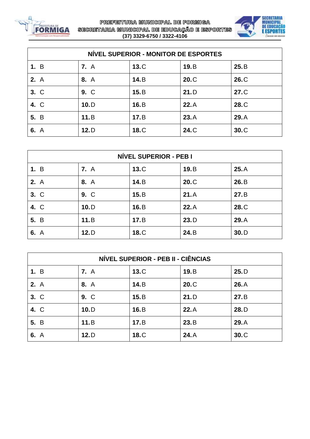



| NÍVEL SUPERIOR - MONITOR DE ESPORTES |             |      |      |      |  |
|--------------------------------------|-------------|------|------|------|--|
| 1. B                                 | <b>7.</b> A | 13.C | 19.B | 25.B |  |
| 2. A                                 | 8. A        | 14.B | 20.C | 26.C |  |
| 3. C                                 | 9. C        | 15.B | 21.D | 27.C |  |
| 4. C                                 | 10.D        | 16.B | 22.A | 28.C |  |
| 5. B                                 | 11.B        | 17.E | 23.A | 29.A |  |
| 6. A                                 | 12.D        | 18.C | 24.C | 30.C |  |

| NÍVEL SUPERIOR - PEB I |             |      |      |      |
|------------------------|-------------|------|------|------|
| 1. B                   | <b>7.</b> A | 13.C | 19.B | 25.A |
| <b>2.</b> A            | 8. A        | 14.B | 20.C | 26.B |
| 3. C                   | 9. C        | 15.B | 21.A | 27.B |
| 4. C                   | 10.D        | 16.B | 22.A | 28.C |
| 5. B                   | 11.B        | 17.E | 23.D | 29.A |
| 6. A                   | 12.D        | 18.C | 24.B | 30.D |

| NÍVEL SUPERIOR - PEB II - CIÊNCIAS |             |      |      |      |
|------------------------------------|-------------|------|------|------|
| 1. B                               | <b>7.</b> A | 13.C | 19.B | 25.D |
| <b>2.</b> A                        | 8. A        | 14.B | 20.C | 26.A |
| 3. C                               | 9. C        | 15.B | 21.D | 27.B |
| 4. C                               | 10.D        | 16.B | 22.A | 28.D |
| 5. B                               | 11.B        | 17.E | 23.B | 29.A |
| 6. A                               | 12.D        | 18.C | 24.A | 30.C |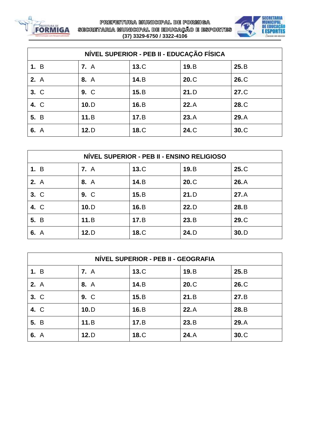



| NÍVEL SUPERIOR - PEB II - EDUCAÇÃO FÍSICA |             |      |      |      |  |
|-------------------------------------------|-------------|------|------|------|--|
| 1. B                                      | <b>7.</b> A | 13.C | 19.B | 25.B |  |
| 2. A                                      | 8. A        | 14.B | 20.C | 26.C |  |
| 3. C                                      | 9. C        | 15.B | 21.D | 27.C |  |
| 4. C                                      | 10.D        | 16.B | 22.A | 28.C |  |
| 5. B                                      | 11.B        | 17.E | 23.A | 29.A |  |
| 6. A                                      | 12.D        | 18.C | 24.C | 30.C |  |

| NÍVEL SUPERIOR - PEB II - ENSINO RELIGIOSO |             |      |      |      |  |
|--------------------------------------------|-------------|------|------|------|--|
| 1. B                                       | <b>7.</b> A | 13.C | 19.B | 25.C |  |
| 2. A                                       | 8. A        | 14.B | 20.C | 26.A |  |
| 3. C                                       | 9. C        | 15.B | 21.D | 27.A |  |
| 4. C                                       | 10.D        | 16.B | 22.D | 28.B |  |
| 5. B                                       | 11.B        | 17.E | 23.B | 29.C |  |
| 6. A                                       | 12.D        | 18.C | 24.D | 30.D |  |

| NÍVEL SUPERIOR - PEB II - GEOGRAFIA |             |      |      |      |
|-------------------------------------|-------------|------|------|------|
| 1. B                                | <b>7.</b> A | 13.C | 19.B | 25.B |
| <b>2.</b> A                         | 8. A        | 14.B | 20.C | 26.C |
| 3. C                                | 9. C        | 15.B | 21.B | 27.B |
| 4. C                                | 10.D        | 16.B | 22.A | 28.B |
| 5. B                                | 11.B        | 17.E | 23.B | 29.A |
| 6. A                                | 12.D        | 18.C | 24.A | 30.C |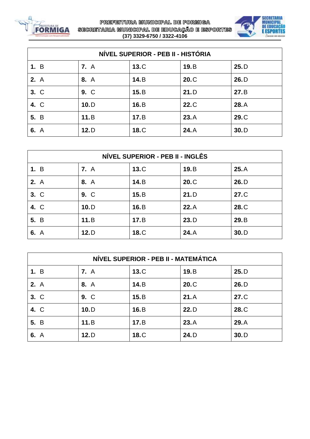



| NÍVEL SUPERIOR - PEB II - HISTÓRIA |             |      |      |      |  |
|------------------------------------|-------------|------|------|------|--|
| 1. B                               | <b>7.</b> A | 13.C | 19.B | 25.D |  |
| 2. A                               | 8. A        | 14.B | 20.C | 26.D |  |
| 3. C                               | 9. C        | 15.B | 21.D | 27.B |  |
| 4. C                               | 10.D        | 16.B | 22.C | 28.A |  |
| 5. B                               | 11.B        | 17.E | 23.A | 29.C |  |
| 6. A                               | 12.D        | 18.C | 24.A | 30.D |  |

| NÍVEL SUPERIOR - PEB II - INGLÊS |             |      |      |      |
|----------------------------------|-------------|------|------|------|
| 1. B                             | <b>7.</b> A | 13.C | 19.B | 25.A |
| 2. A                             | 8. A        | 14.B | 20.C | 26.D |
| 3. C                             | 9. C        | 15.B | 21.D | 27.C |
| 4. C                             | 10.D        | 16.B | 22.A | 28.C |
| 5. B                             | 11.B        | 17.E | 23.D | 29.B |
| 6. A                             | 12.D        | 18.C | 24.A | 30.D |

| NÍVEL SUPERIOR - PEB II - MATEMÁTICA |             |      |       |      |
|--------------------------------------|-------------|------|-------|------|
| 1. B                                 | <b>7.</b> A | 13.C | 19.B  | 25.D |
| <b>2.</b> A                          | 8. A        | 14.B | 20.C  | 26.D |
| 3. C                                 | 9. C        | 15.B | 21.A  | 27.C |
| 4. C                                 | 10.D        | 16.B | 22. D | 28.C |
| 5. B                                 | 11.B        | 17.E | 23.A  | 29.A |
| 6. A                                 | 12.D        | 18.C | 24.D  | 30.D |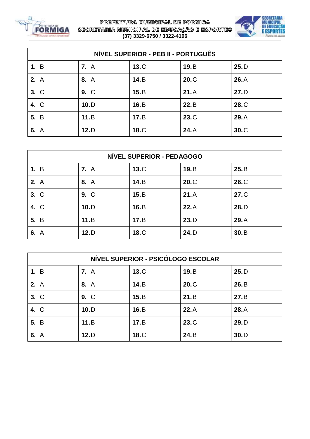



| NÍVEL SUPERIOR - PEB II - PORTUGUÊS |             |      |      |      |
|-------------------------------------|-------------|------|------|------|
| 1. B                                | <b>7.</b> A | 13.C | 19.B | 25.D |
| 2. A                                | 8. A        | 14.B | 20.C | 26.A |
| 3. C                                | 9. C        | 15.B | 21.A | 27.D |
| 4. C                                | 10.D        | 16.B | 22.B | 28.C |
| 5. B                                | 11.B        | 17.E | 23.C | 29.A |
| 6. A                                | 12.D        | 18.C | 24.A | 30.C |

| NÍVEL SUPERIOR - PEDAGOGO |             |      |      |      |
|---------------------------|-------------|------|------|------|
| 1. B                      | <b>7.</b> A | 13.C | 19.B | 25.B |
| 2. A                      | 8. A        | 14.B | 20.C | 26.C |
| 3. C                      | 9. C        | 15.B | 21.A | 27.C |
| 4. C                      | 10.D        | 16.B | 22.A | 28.D |
| 5. B                      | 11.B        | 17.E | 23.D | 29.A |
| 6. A                      | 12.D        | 18.C | 24.D | 30.B |

| NÍVEL SUPERIOR - PSICÓLOGO ESCOLAR |             |      |      |      |
|------------------------------------|-------------|------|------|------|
| 1. B                               | <b>7.</b> A | 13.C | 19.B | 25.D |
| <b>2.</b> A                        | 8. A        | 14.B | 20.C | 26.B |
| 3. C                               | 9. C        | 15.B | 21.B | 27.B |
| 4. C                               | 10.D        | 16.B | 22.A | 28.A |
| 5. B                               | 11.B        | 17.E | 23.C | 29.D |
| 6. A                               | 12.D        | 18.C | 24.B | 30.D |